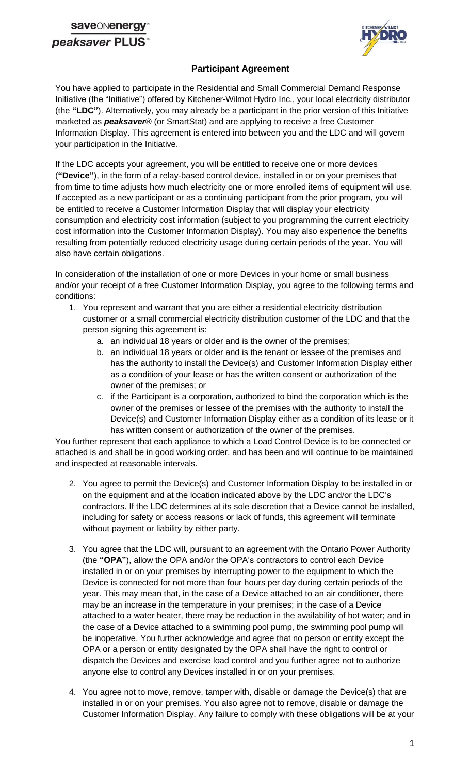## **save**ONenerg peaksaver PLUS



### **Participant Agreement**

You have applied to participate in the Residential and Small Commercial Demand Response Initiative (the "Initiative") offered by Kitchener-Wilmot Hydro Inc., your local electricity distributor (the **"LDC"**). Alternatively, you may already be a participant in the prior version of this Initiative marketed as *peaksaver*® (or SmartStat) and are applying to receive a free Customer Information Display. This agreement is entered into between you and the LDC and will govern your participation in the Initiative.

If the LDC accepts your agreement, you will be entitled to receive one or more devices (**"Device"**), in the form of a relay-based control device, installed in or on your premises that from time to time adjusts how much electricity one or more enrolled items of equipment will use. If accepted as a new participant or as a continuing participant from the prior program, you will be entitled to receive a Customer Information Display that will display your electricity consumption and electricity cost information (subject to you programming the current electricity cost information into the Customer Information Display). You may also experience the benefits resulting from potentially reduced electricity usage during certain periods of the year. You will also have certain obligations.

In consideration of the installation of one or more Devices in your home or small business and/or your receipt of a free Customer Information Display, you agree to the following terms and conditions:

- 1. You represent and warrant that you are either a residential electricity distribution customer or a small commercial electricity distribution customer of the LDC and that the person signing this agreement is:
	- a. an individual 18 years or older and is the owner of the premises;
	- b. an individual 18 years or older and is the tenant or lessee of the premises and has the authority to install the Device(s) and Customer Information Display either as a condition of your lease or has the written consent or authorization of the owner of the premises; or
	- c. if the Participant is a corporation, authorized to bind the corporation which is the owner of the premises or lessee of the premises with the authority to install the Device(s) and Customer Information Display either as a condition of its lease or it has written consent or authorization of the owner of the premises.

You further represent that each appliance to which a Load Control Device is to be connected or attached is and shall be in good working order, and has been and will continue to be maintained and inspected at reasonable intervals.

- 2. You agree to permit the Device(s) and Customer Information Display to be installed in or on the equipment and at the location indicated above by the LDC and/or the LDC's contractors. If the LDC determines at its sole discretion that a Device cannot be installed, including for safety or access reasons or lack of funds, this agreement will terminate without payment or liability by either party.
- 3. You agree that the LDC will, pursuant to an agreement with the Ontario Power Authority (the **"OPA"**), allow the OPA and/or the OPA's contractors to control each Device installed in or on your premises by interrupting power to the equipment to which the Device is connected for not more than four hours per day during certain periods of the year. This may mean that, in the case of a Device attached to an air conditioner, there may be an increase in the temperature in your premises; in the case of a Device attached to a water heater, there may be reduction in the availability of hot water; and in the case of a Device attached to a swimming pool pump, the swimming pool pump will be inoperative. You further acknowledge and agree that no person or entity except the OPA or a person or entity designated by the OPA shall have the right to control or dispatch the Devices and exercise load control and you further agree not to authorize anyone else to control any Devices installed in or on your premises.
- 4. You agree not to move, remove, tamper with, disable or damage the Device(s) that are installed in or on your premises. You also agree not to remove, disable or damage the Customer Information Display. Any failure to comply with these obligations will be at your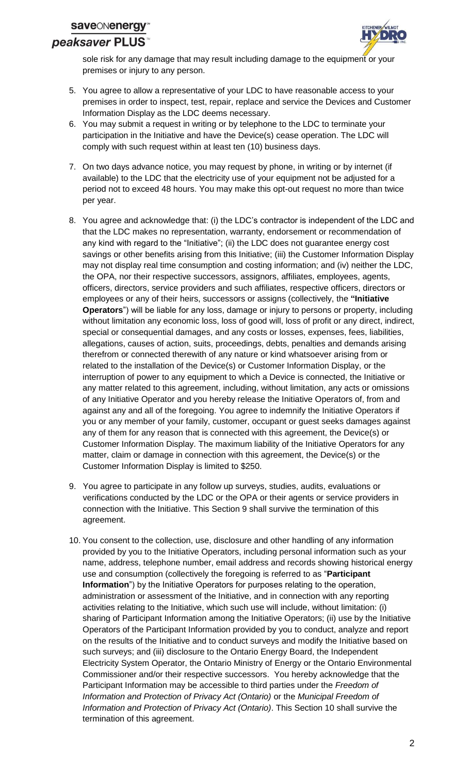

sole risk for any damage that may result including damage to the equipment or your premises or injury to any person.

- 5. You agree to allow a representative of your LDC to have reasonable access to your premises in order to inspect, test, repair, replace and service the Devices and Customer Information Display as the LDC deems necessary.
- 6. You may submit a request in writing or by telephone to the LDC to terminate your participation in the Initiative and have the Device(s) cease operation. The LDC will comply with such request within at least ten (10) business days.
- 7. On two days advance notice, you may request by phone, in writing or by internet (if available) to the LDC that the electricity use of your equipment not be adjusted for a period not to exceed 48 hours. You may make this opt-out request no more than twice per year.
- 8. You agree and acknowledge that: (i) the LDC's contractor is independent of the LDC and that the LDC makes no representation, warranty, endorsement or recommendation of any kind with regard to the "Initiative"; (ii) the LDC does not guarantee energy cost savings or other benefits arising from this Initiative; (iii) the Customer Information Display may not display real time consumption and costing information; and (iv) neither the LDC, the OPA, nor their respective successors, assignors, affiliates, employees, agents, officers, directors, service providers and such affiliates, respective officers, directors or employees or any of their heirs, successors or assigns (collectively, the **"Initiative Operators**") will be liable for any loss, damage or injury to persons or property, including without limitation any economic loss, loss of good will, loss of profit or any direct, indirect, special or consequential damages, and any costs or losses, expenses, fees, liabilities, allegations, causes of action, suits, proceedings, debts, penalties and demands arising therefrom or connected therewith of any nature or kind whatsoever arising from or related to the installation of the Device(s) or Customer Information Display, or the interruption of power to any equipment to which a Device is connected, the Initiative or any matter related to this agreement, including, without limitation, any acts or omissions of any Initiative Operator and you hereby release the Initiative Operators of, from and against any and all of the foregoing. You agree to indemnify the Initiative Operators if you or any member of your family, customer, occupant or guest seeks damages against any of them for any reason that is connected with this agreement, the Device(s) or Customer Information Display. The maximum liability of the Initiative Operators for any matter, claim or damage in connection with this agreement, the Device(s) or the Customer Information Display is limited to \$250.
- 9. You agree to participate in any follow up surveys, studies, audits, evaluations or verifications conducted by the LDC or the OPA or their agents or service providers in connection with the Initiative. This Section 9 shall survive the termination of this agreement.
- 10. You consent to the collection, use, disclosure and other handling of any information provided by you to the Initiative Operators, including personal information such as your name, address, telephone number, email address and records showing historical energy use and consumption (collectively the foregoing is referred to as "**Participant Information**") by the Initiative Operators for purposes relating to the operation, administration or assessment of the Initiative, and in connection with any reporting activities relating to the Initiative, which such use will include, without limitation: (i) sharing of Participant Information among the Initiative Operators; (ii) use by the Initiative Operators of the Participant Information provided by you to conduct, analyze and report on the results of the Initiative and to conduct surveys and modify the Initiative based on such surveys; and (iii) disclosure to the Ontario Energy Board, the Independent Electricity System Operator, the Ontario Ministry of Energy or the Ontario Environmental Commissioner and/or their respective successors. You hereby acknowledge that the Participant Information may be accessible to third parties under the *Freedom of Information and Protection of Privacy Act (Ontario)* or the *Municipal Freedom of Information and Protection of Privacy Act (Ontario)*. This Section 10 shall survive the termination of this agreement.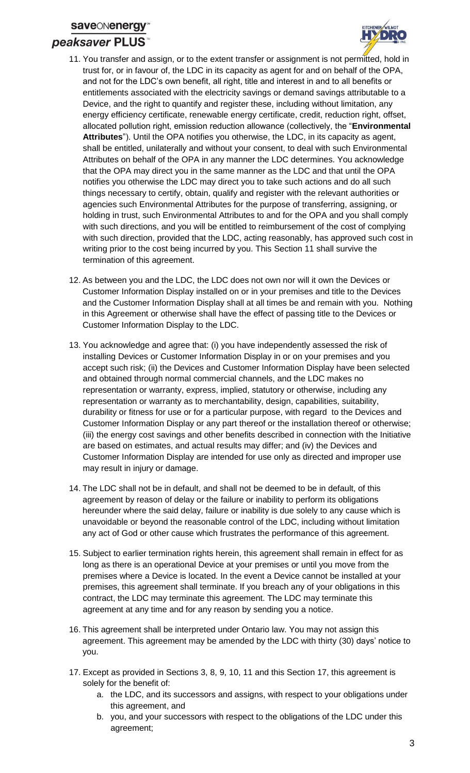## **saveONener** peaksaver PLUS



- 11. You transfer and assign, or to the extent transfer or assignment is not permitted, hold in trust for, or in favour of, the LDC in its capacity as agent for and on behalf of the OPA, and not for the LDC's own benefit, all right, title and interest in and to all benefits or entitlements associated with the electricity savings or demand savings attributable to a Device, and the right to quantify and register these, including without limitation, any energy efficiency certificate, renewable energy certificate, credit, reduction right, offset, allocated pollution right, emission reduction allowance (collectively, the "**Environmental Attributes**"). Until the OPA notifies you otherwise, the LDC, in its capacity as agent, shall be entitled, unilaterally and without your consent, to deal with such Environmental Attributes on behalf of the OPA in any manner the LDC determines. You acknowledge that the OPA may direct you in the same manner as the LDC and that until the OPA notifies you otherwise the LDC may direct you to take such actions and do all such things necessary to certify, obtain, qualify and register with the relevant authorities or agencies such Environmental Attributes for the purpose of transferring, assigning, or holding in trust, such Environmental Attributes to and for the OPA and you shall comply with such directions, and you will be entitled to reimbursement of the cost of complying with such direction, provided that the LDC, acting reasonably, has approved such cost in writing prior to the cost being incurred by you. This Section 11 shall survive the termination of this agreement.
- 12. As between you and the LDC, the LDC does not own nor will it own the Devices or Customer Information Display installed on or in your premises and title to the Devices and the Customer Information Display shall at all times be and remain with you. Nothing in this Agreement or otherwise shall have the effect of passing title to the Devices or Customer Information Display to the LDC.
- 13. You acknowledge and agree that: (i) you have independently assessed the risk of installing Devices or Customer Information Display in or on your premises and you accept such risk; (ii) the Devices and Customer Information Display have been selected and obtained through normal commercial channels, and the LDC makes no representation or warranty, express, implied, statutory or otherwise, including any representation or warranty as to merchantability, design, capabilities, suitability, durability or fitness for use or for a particular purpose, with regard to the Devices and Customer Information Display or any part thereof or the installation thereof or otherwise; (iii) the energy cost savings and other benefits described in connection with the Initiative are based on estimates, and actual results may differ; and (iv) the Devices and Customer Information Display are intended for use only as directed and improper use may result in injury or damage.
- 14. The LDC shall not be in default, and shall not be deemed to be in default, of this agreement by reason of delay or the failure or inability to perform its obligations hereunder where the said delay, failure or inability is due solely to any cause which is unavoidable or beyond the reasonable control of the LDC, including without limitation any act of God or other cause which frustrates the performance of this agreement.
- 15. Subject to earlier termination rights herein, this agreement shall remain in effect for as long as there is an operational Device at your premises or until you move from the premises where a Device is located. In the event a Device cannot be installed at your premises, this agreement shall terminate. If you breach any of your obligations in this contract, the LDC may terminate this agreement. The LDC may terminate this agreement at any time and for any reason by sending you a notice.
- 16. This agreement shall be interpreted under Ontario law. You may not assign this agreement. This agreement may be amended by the LDC with thirty (30) days' notice to you.
- 17. Except as provided in Sections 3, 8, 9, 10, 11 and this Section 17, this agreement is solely for the benefit of:
	- a. the LDC, and its successors and assigns, with respect to your obligations under this agreement, and
	- b. you, and your successors with respect to the obligations of the LDC under this agreement;